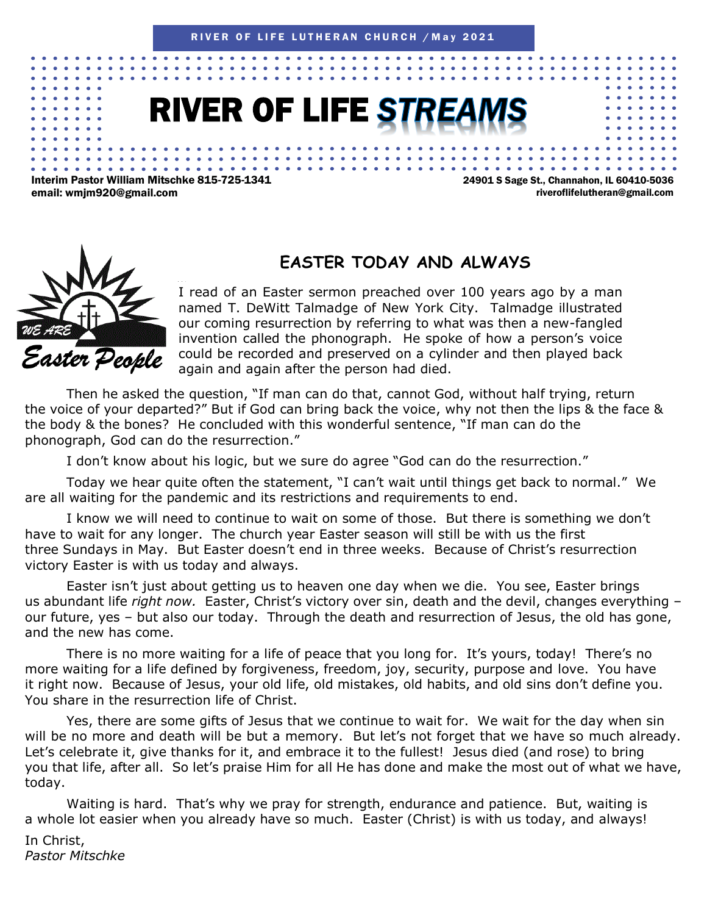# **RIVER OF LIFE ST**

Interim Pastor William Mitschke 815-725-1341 email: wmjm920@gmail.com

24901 S Sage St., Channahon, IL 60410-5036 riveroflifelutheran@gmail.com



#### **EASTER TODAY AND ALWAYS**

again and again after the person had died. I read of an Easter sermon preached over 100 years ago by a man named T. DeWitt Talmadge of New York City. Talmadge illustrated our coming resurrection by referring to what was then a new-fangled invention called the phonograph. He spoke of how a person's voice could be recorded and preserved on a cylinder and then played back

Then he asked the question, "If man can do that, cannot God, without half trying, return the voice of your departed?" But if God can bring back the voice, why not then the lips & the face & the body & the bones? He concluded with this wonderful sentence, "If man can do the phonograph, God can do the resurrection."

I don't know about his logic, but we sure do agree "God can do the resurrection."

Today we hear quite often the statement, "I can't wait until things get back to normal." We are all waiting for the pandemic and its restrictions and requirements to end.

I know we will need to continue to wait on some of those. But there is something we don't have to wait for any longer. The church year Easter season will still be with us the first three Sundays in May. But Easter doesn't end in three weeks. Because of Christ's resurrection victory Easter is with us today and always.

Easter isn't just about getting us to heaven one day when we die. You see, Easter brings us abundant life *right now.* Easter, Christ's victory over sin, death and the devil, changes everything – our future, yes – but also our today. Through the death and resurrection of Jesus, the old has gone, and the new has come.

There is no more waiting for a life of peace that you long for. It's yours, today! There's no more waiting for a life defined by forgiveness, freedom, joy, security, purpose and love. You have it right now. Because of Jesus, your old life, old mistakes, old habits, and old sins don't define you. You share in the resurrection life of Christ.

Yes, there are some gifts of Jesus that we continue to wait for. We wait for the day when sin will be no more and death will be but a memory. But let's not forget that we have so much already. Let's celebrate it, give thanks for it, and embrace it to the fullest! Jesus died (and rose) to bring you that life, after all. So let's praise Him for all He has done and make the most out of what we have, today.

Waiting is hard. That's why we pray for strength, endurance and patience. But, waiting is a whole lot easier when you already have so much. Easter (Christ) is with us today, and always!

In Christ, *Pastor Mitschke*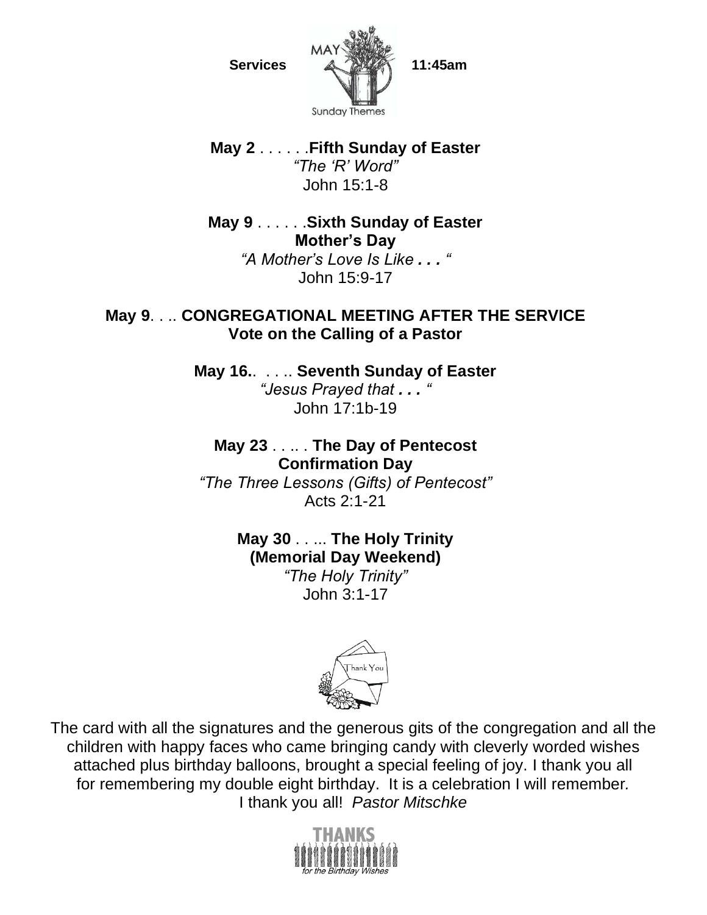

**May 2** . . . . . .**Fifth Sunday of Easter** *"The 'R' Word"* John 15:1-8

**May 9** . . . . . .**Sixth Sunday of Easter Mother's Day** *"A Mother's Love Is Like . . . "* John 15:9-17

#### **May 9**. . .. **CONGREGATIONAL MEETING AFTER THE SERVICE Vote on the Calling of a Pastor**

**May 16.**. . . .. **Seventh Sunday of Easter** *"Jesus Prayed that . . . "* John 17:1b-19

**May 23** . . .. . **The Day of Pentecost Confirmation Day** *"The Three Lessons (Gifts) of Pentecost"* Acts 2:1-21

> **May 30** . . ... **The Holy Trinity (Memorial Day Weekend)** *"The Holy Trinity"* John 3:1-17



The card with all the signatures and the generous gits of the congregation and all the children with happy faces who came bringing candy with cleverly worded wishes attached plus birthday balloons, brought a special feeling of joy. I thank you all for remembering my double eight birthday. It is a celebration I will remember*.* I thank you all! *Pastor Mitschke*

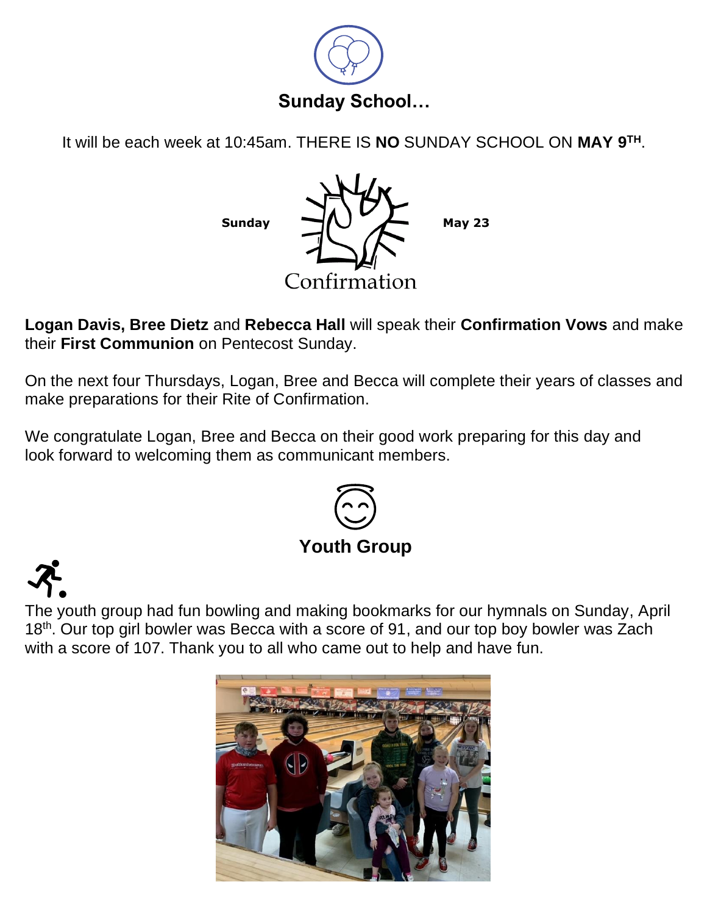

It will be each week at 10:45am. THERE IS **NO** SUNDAY SCHOOL ON **MAY 9TH**.



**Logan Davis, Bree Dietz** and **Rebecca Hall** will speak their **Confirmation Vows** and make their **First Communion** on Pentecost Sunday.

On the next four Thursdays, Logan, Bree and Becca will complete their years of classes and make preparations for their Rite of Confirmation.

We congratulate Logan, Bree and Becca on their good work preparing for this day and look forward to welcoming them as communicant members.



The youth group had fun bowling and making bookmarks for our hymnals on Sunday, April 18<sup>th</sup>. Our top girl bowler was Becca with a score of 91, and our top boy bowler was Zach with a score of 107. Thank you to all who came out to help and have fun.

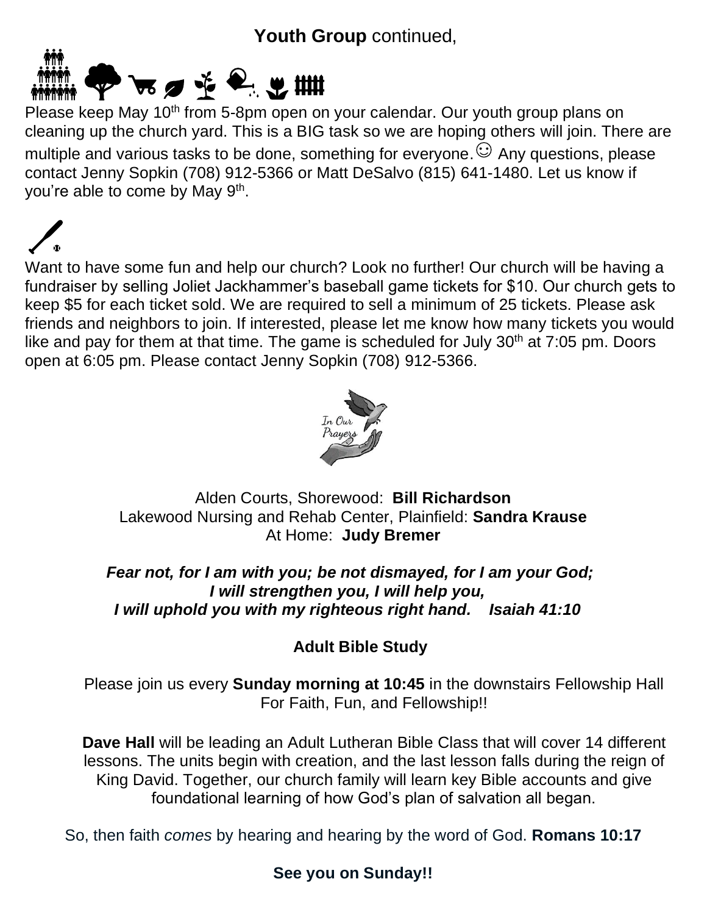### **Youth Group** continued,



Please keep May 10<sup>th</sup> from 5-8pm open on your calendar. Our youth group plans on cleaning up the church yard. This is a BIG task so we are hoping others will join. There are multiple and various tasks to be done, something for everyone.  $\odot$  Any questions, please contact Jenny Sopkin (708) 912-5366 or Matt DeSalvo (815) 641-1480. Let us know if you're able to come by May 9<sup>th</sup>.

Want to have some fun and help our church? Look no further! Our church will be having a fundraiser by selling Joliet Jackhammer's baseball game tickets for \$10. Our church gets to keep \$5 for each ticket sold. We are required to sell a minimum of 25 tickets. Please ask friends and neighbors to join. If interested, please let me know how many tickets you would like and pay for them at that time. The game is scheduled for July 30<sup>th</sup> at 7:05 pm. Doors open at 6:05 pm. Please contact Jenny Sopkin (708) 912-5366.



Alden Courts, Shorewood: **Bill Richardson** Lakewood Nursing and Rehab Center, Plainfield: **Sandra Krause** At Home: **Judy Bremer**

*Fear not, for I am with you; be not dismayed, for I am your God; I will strengthen you, I will help you, I will uphold you with my righteous right hand. Isaiah 41:10*

#### **Adult Bible Study**

Please join us every **Sunday morning at 10:45** in the downstairs Fellowship Hall For Faith, Fun, and Fellowship!!

**Dave Hall** will be leading an Adult Lutheran Bible Class that will cover 14 different lessons. The units begin with creation, and the last lesson falls during the reign of King David. Together, our church family will learn key Bible accounts and give foundational learning of how God's plan of salvation all began.

So, then faith *comes* by hearing and hearing by the word of God. **Romans 10:17**

#### **See you on Sunday!!**